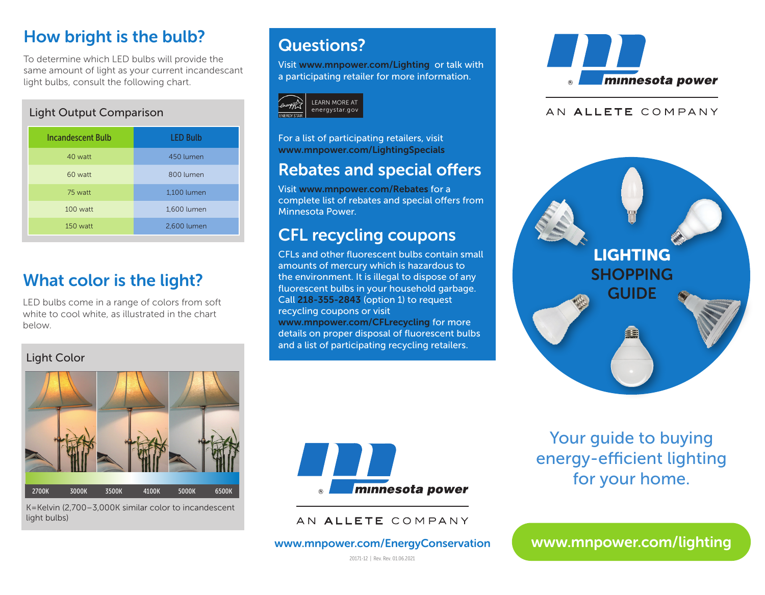# How bright is the bulb?

To determine which LED bulbs will provide the same amount of light as your current incandescant light bulbs, consult the following chart.

### Light Output Comparison

| <b>Incandescent Bulb</b> | <b>LED Bulb</b> |
|--------------------------|-----------------|
| 40 watt                  | 450 lumen       |
| 60 watt                  | 800 lumen       |
| 75 watt                  | 1,100 lumen     |
| $100$ watt               | 1,600 lumen     |
| $150$ watt               | 2,600 lumen     |

# What color is the light?

LED bulbs come in a range of colors from soft white to cool white, as illustrated in the chart below.

#### Light Color



K=Kelvin (2,700–3,000K similar color to incandescent light bulbs)

### Questions?

Visit www.mnpower.com/Lighting or talk with a participating retailer for more information.



For a list of participating retailers, visit www.mnpower.com/LightingSpecials

### Rebates and special offers

Visit www.mnpower.com/Rebates for a complete list of rebates and special offers from Minnesota Power.

# CFL recycling coupons

CFLs and other fluorescent bulbs contain small amounts of mercury which is hazardous to the environment. It is illegal to dispose of any fluorescent bulbs in your household garbage. Call 218-355-2843 (option 1) to request recycling coupons or visit www.mnpower.com/CFLrecycling for more details on proper disposal of fluorescent bulbs and a list of participating recycling retailers.



#### AN ALLETE COMPANY





AN ALLETE COMPANY

www.mnpower.com/EnergyConservation

Your guide to buying energy-efficient lighting for your home.

www.mnpower.com/lighting